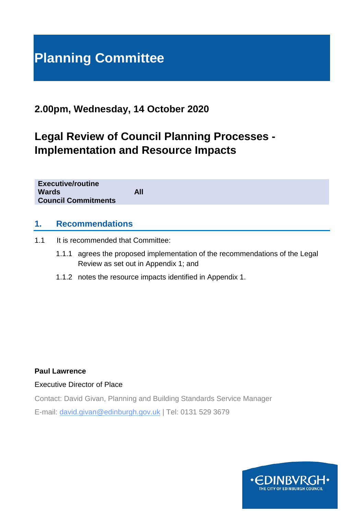# **Planning Committee**

# **2.00pm, Wednesday, 14 October 2020**

# **Legal Review of Council Planning Processes - Implementation and Resource Impacts**

**Executive/routine Wards All Council Commitments**

#### **1. Recommendations**

- 1.1 It is recommended that Committee:
	- 1.1.1 agrees the proposed implementation of the recommendations of the Legal Review as set out in Appendix 1; and
	- 1.1.2 notes the resource impacts identified in Appendix 1.

#### **Paul Lawrence**

Executive Director of Place

Contact: David Givan, Planning and Building Standards Service Manager

E-mail: david.givan@edinburgh.gov.uk | Tel: 0131 529 3679

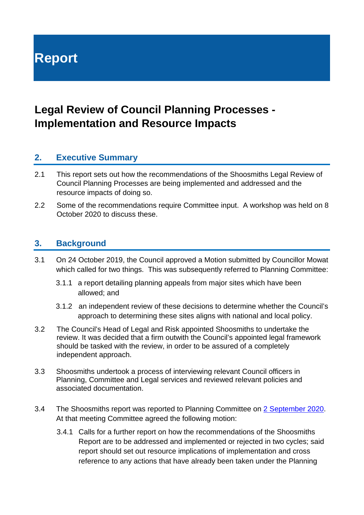**Report**

# **Legal Review of Council Planning Processes - Implementation and Resource Impacts**

## **2. Executive Summary**

- 2.1 This report sets out how the recommendations of the Shoosmiths Legal Review of Council Planning Processes are being implemented and addressed and the resource impacts of doing so.
- 2.2 Some of the recommendations require Committee input. A workshop was held on 8 October 2020 to discuss these.

#### **3. Background**

- 3.1 On 24 October 2019, the Council approved a Motion submitted by Councillor Mowat which called for two things. This was subsequently referred to Planning Committee:
	- 3.1.1 a report detailing planning appeals from major sites which have been allowed; and
	- 3.1.2 an independent review of these decisions to determine whether the Council's approach to determining these sites aligns with national and local policy.
- 3.2 The Council's Head of Legal and Risk appointed Shoosmiths to undertake the review. It was decided that a firm outwith the Council's appointed legal framework should be tasked with the review, in order to be assured of a completely independent approach.
- 3.3 Shoosmiths undertook a process of interviewing relevant Council officers in Planning, Committee and Legal services and reviewed relevant policies and associated documentation.
- 3.4 The Shoosmiths report was reported to Planning Committee on [2 September 2020.](https://democracy.edinburgh.gov.uk/documents/s25882/Item%208.3%20-%20Legal%20review%20of%20Council%20Planning%20Processes.pdf) At that meeting Committee agreed the following motion:
	- 3.4.1 Calls for a further report on how the recommendations of the Shoosmiths Report are to be addressed and implemented or rejected in two cycles; said report should set out resource implications of implementation and cross reference to any actions that have already been taken under the Planning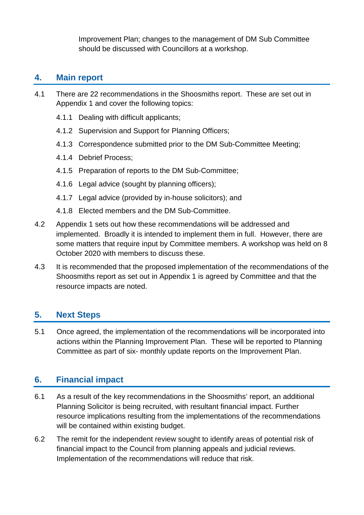Improvement Plan; changes to the management of DM Sub Committee should be discussed with Councillors at a workshop.

# **4. Main report**

- 4.1 There are 22 recommendations in the Shoosmiths report. These are set out in Appendix 1 and cover the following topics:
	- 4.1.1 Dealing with difficult applicants;
	- 4.1.2 Supervision and Support for Planning Officers;
	- 4.1.3 Correspondence submitted prior to the DM Sub-Committee Meeting;
	- 4.1.4 Debrief Process;
	- 4.1.5 Preparation of reports to the DM Sub-Committee;
	- 4.1.6 Legal advice (sought by planning officers);
	- 4.1.7 Legal advice (provided by in-house solicitors); and
	- 4.1.8 Elected members and the DM Sub-Committee.
- 4.2 Appendix 1 sets out how these recommendations will be addressed and implemented. Broadly it is intended to implement them in full. However, there are some matters that require input by Committee members. A workshop was held on 8 October 2020 with members to discuss these.
- 4.3 It is recommended that the proposed implementation of the recommendations of the Shoosmiths report as set out in Appendix 1 is agreed by Committee and that the resource impacts are noted.

#### **5. Next Steps**

5.1 Once agreed, the implementation of the recommendations will be incorporated into actions within the Planning Improvement Plan. These will be reported to Planning Committee as part of six- monthly update reports on the Improvement Plan.

## **6. Financial impact**

- 6.1 As a result of the key recommendations in the Shoosmiths' report, an additional Planning Solicitor is being recruited, with resultant financial impact. Further resource implications resulting from the implementations of the recommendations will be contained within existing budget.
- 6.2 The remit for the independent review sought to identify areas of potential risk of financial impact to the Council from planning appeals and judicial reviews. Implementation of the recommendations will reduce that risk.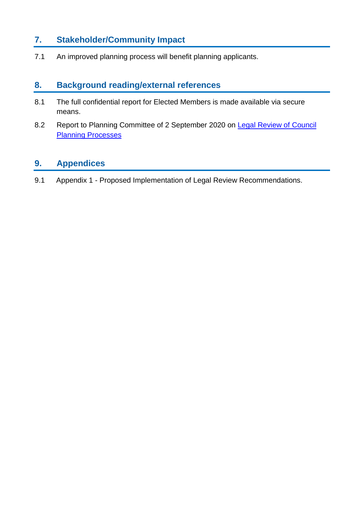# **7. Stakeholder/Community Impact**

7.1 An improved planning process will benefit planning applicants.

# **8. Background reading/external references**

- 8.1 The full confidential report for Elected Members is made available via secure means.
- 8.2 Report to Planning Committee of 2 September 2020 on [Legal Review of Council](https://democracy.edinburgh.gov.uk/documents/s25882/Item%208.3%20-%20Legal%20review%20of%20Council%20Planning%20Processes.pdf)  **[Planning Processes](https://democracy.edinburgh.gov.uk/documents/s25882/Item%208.3%20-%20Legal%20review%20of%20Council%20Planning%20Processes.pdf)**

# **9. Appendices**

9.1 Appendix 1 - Proposed Implementation of Legal Review Recommendations.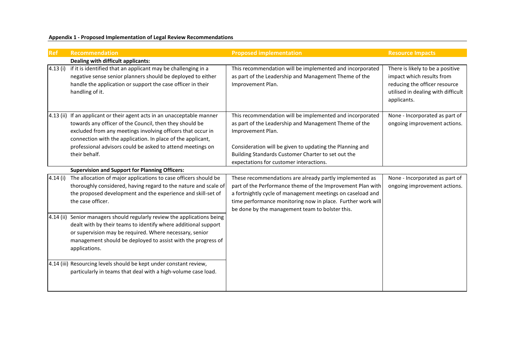**Appendix 1 - Proposed Implementation of Legal Review Recommendations**

| <b>Ref</b>  | Recommendation                                                                                                                                                                                                                                                                                                                 | <b>Proposed implementation</b>                                                                                                                                                                                                                                                                        | <b>Resource Impacts</b>                                                                                                                             |
|-------------|--------------------------------------------------------------------------------------------------------------------------------------------------------------------------------------------------------------------------------------------------------------------------------------------------------------------------------|-------------------------------------------------------------------------------------------------------------------------------------------------------------------------------------------------------------------------------------------------------------------------------------------------------|-----------------------------------------------------------------------------------------------------------------------------------------------------|
|             | Dealing with difficult applicants:                                                                                                                                                                                                                                                                                             |                                                                                                                                                                                                                                                                                                       |                                                                                                                                                     |
| 4.13(i)     | if it is identified that an applicant may be challenging in a<br>negative sense senior planners should be deployed to either<br>handle the application or support the case officer in their<br>handling of it.                                                                                                                 | This recommendation will be implemented and incorporated<br>as part of the Leadership and Management Theme of the<br>Improvement Plan.                                                                                                                                                                | There is likely to be a positive<br>impact which results from<br>reducing the officer resource<br>utilised in dealing with difficult<br>applicants. |
|             | 4.13 (ii) If an applicant or their agent acts in an unacceptable manner<br>towards any officer of the Council, then they should be<br>excluded from any meetings involving officers that occur in<br>connection with the application. In place of the applicant,<br>professional advisors could be asked to attend meetings on | This recommendation will be implemented and incorporated<br>as part of the Leadership and Management Theme of the<br>Improvement Plan.<br>Consideration will be given to updating the Planning and                                                                                                    | None - Incorporated as part of<br>ongoing improvement actions.                                                                                      |
|             | their behalf.                                                                                                                                                                                                                                                                                                                  | Building Standards Customer Charter to set out the                                                                                                                                                                                                                                                    |                                                                                                                                                     |
|             |                                                                                                                                                                                                                                                                                                                                | expectations for customer interactions.                                                                                                                                                                                                                                                               |                                                                                                                                                     |
|             | <b>Supervision and Support for Planning Officers:</b><br>The allocation of major applications to case officers should be                                                                                                                                                                                                       |                                                                                                                                                                                                                                                                                                       |                                                                                                                                                     |
| 4.14(i)     | thoroughly considered, having regard to the nature and scale of<br>the proposed development and the experience and skill-set of<br>the case officer.                                                                                                                                                                           | These recommendations are already partly implemented as<br>part of the Performance theme of the Improvement Plan with<br>a fortnightly cycle of management meetings on caseload and<br>time performance monitoring now in place. Further work will<br>be done by the management team to bolster this. | None - Incorporated as part of<br>ongoing improvement actions.                                                                                      |
| $4.14$ (ii) | Senior managers should regularly review the applications being<br>dealt with by their teams to identify where additional support<br>or supervision may be required. Where necessary, senior<br>management should be deployed to assist with the progress of<br>applications.                                                   |                                                                                                                                                                                                                                                                                                       |                                                                                                                                                     |
|             | 4.14 (iii) Resourcing levels should be kept under constant review,<br>particularly in teams that deal with a high-volume case load.                                                                                                                                                                                            |                                                                                                                                                                                                                                                                                                       |                                                                                                                                                     |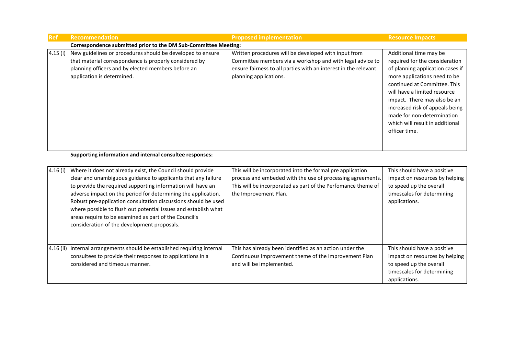| <b>Ref</b> | <b>Recommendation</b>                                                                                                                                                                                    | <b>Proposed implementation</b>                                                                                                                                                                                 | <b>Resource Impacts</b>                                                                                                                                                                                                                                                                                                                           |  |
|------------|----------------------------------------------------------------------------------------------------------------------------------------------------------------------------------------------------------|----------------------------------------------------------------------------------------------------------------------------------------------------------------------------------------------------------------|---------------------------------------------------------------------------------------------------------------------------------------------------------------------------------------------------------------------------------------------------------------------------------------------------------------------------------------------------|--|
|            | Correspondence submitted prior to the DM Sub-Committee Meeting:                                                                                                                                          |                                                                                                                                                                                                                |                                                                                                                                                                                                                                                                                                                                                   |  |
| 4.15(i)    | New guidelines or procedures should be developed to ensure<br>that material correspondence is properly considered by<br>planning officers and by elected members before an<br>application is determined. | Written procedures will be developed with input from<br>Committee members via a workshop and with legal advice to<br>ensure fairness to all parties with an interest in the relevant<br>planning applications. | Additional time may be<br>required for the consideration<br>of planning application cases if<br>more applications need to be<br>continued at Committee. This<br>will have a limited resource<br>impact. There may also be an<br>increased risk of appeals being<br>made for non-determination<br>which will result in additional<br>officer time. |  |
|            | Sunnorting information and internal consultee responses                                                                                                                                                  |                                                                                                                                                                                                                |                                                                                                                                                                                                                                                                                                                                                   |  |

**Supporting information and internal consultee responses:**

| 4.16(i)   | Where it does not already exist, the Council should provide<br>clear and unambiguous guidance to applicants that any failure<br>to provide the required supporting information will have an<br>adverse impact on the period for determining the application.<br>Robust pre-application consultation discussions should be used<br>where possible to flush out potential issues and establish what<br>areas require to be examined as part of the Council's<br>consideration of the development proposals. | This will be incorporated into the formal pre application<br>process and embeded with the use of processing agreements.<br>This will be incorporated as part of the Perfomance theme of<br>the Improvement Plan. | This should have a positive<br>impact on resources by helping<br>to speed up the overall<br>timescales for determining<br>applications. |
|-----------|-----------------------------------------------------------------------------------------------------------------------------------------------------------------------------------------------------------------------------------------------------------------------------------------------------------------------------------------------------------------------------------------------------------------------------------------------------------------------------------------------------------|------------------------------------------------------------------------------------------------------------------------------------------------------------------------------------------------------------------|-----------------------------------------------------------------------------------------------------------------------------------------|
| 4.16 (ii) | Internal arrangements should be established requiring internal<br>consultees to provide their responses to applications in a<br>considered and timeous manner.                                                                                                                                                                                                                                                                                                                                            | This has already been identified as an action under the<br>Continuous Improvement theme of the Improvement Plan<br>and will be implemented.                                                                      | This should have a positive<br>impact on resources by helping<br>to speed up the overall<br>timescales for determining<br>applications. |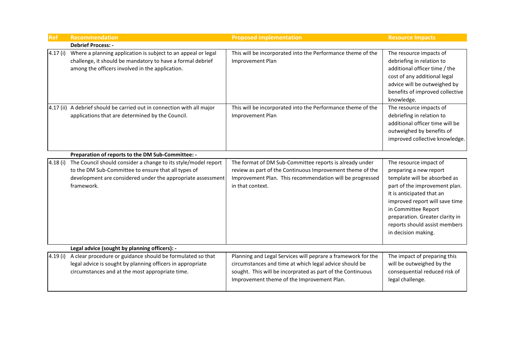| <b>Ref</b> | Recommendation                                                                                                                                                                                     | <b>Proposed implementation</b>                                                                                                                                                                                                     | <b>Resource Impacts</b>                                                                                                                                                                                                                                                                            |
|------------|----------------------------------------------------------------------------------------------------------------------------------------------------------------------------------------------------|------------------------------------------------------------------------------------------------------------------------------------------------------------------------------------------------------------------------------------|----------------------------------------------------------------------------------------------------------------------------------------------------------------------------------------------------------------------------------------------------------------------------------------------------|
|            | <b>Debrief Process: -</b>                                                                                                                                                                          |                                                                                                                                                                                                                                    |                                                                                                                                                                                                                                                                                                    |
| 4.17(i)    | Where a planning application is subject to an appeal or legal<br>challenge, it should be mandatory to have a formal debrief<br>among the officers involved in the application.                     | This will be incorporated into the Performance theme of the<br>Improvement Plan                                                                                                                                                    | The resource impacts of<br>debriefing in relation to<br>additional officer time / the<br>cost of any additional legal<br>advice will be outweighed by<br>benefits of improved collective<br>knowledge.                                                                                             |
|            | 4.17 (ii) A debrief should be carried out in connection with all major<br>applications that are determined by the Council.                                                                         | This will be incorporated into the Performance theme of the<br>Improvement Plan                                                                                                                                                    | The resource impacts of<br>debriefing in relation to<br>additional officer time will be<br>outweighed by benefits of<br>improved collective knowledge.                                                                                                                                             |
|            | Preparation of reports to the DM Sub-Committee: -                                                                                                                                                  |                                                                                                                                                                                                                                    |                                                                                                                                                                                                                                                                                                    |
| 4.18(i)    | The Council should consider a change to its style/model report<br>to the DM Sub-Committee to ensure that all types of<br>development are considered under the appropriate assessment<br>framework. | The format of DM Sub-Committee reports is already under<br>review as part of the Continuous Improvement theme of the<br>Improvement Plan. This recommendation will be progressed<br>in that context.                               | The resource impact of<br>preparing a new report<br>template will be absorbed as<br>part of the improvement plan.<br>It is anticipated that an<br>improved report will save time<br>in Committee Report<br>preparation. Greater clarity in<br>reports should assist members<br>in decision making. |
|            | Legal advice (sought by planning officers): -                                                                                                                                                      |                                                                                                                                                                                                                                    |                                                                                                                                                                                                                                                                                                    |
| 4.19(i)    | A clear procedure or guidance should be formulated so that<br>legal advice is sought by planning officers in appropriate<br>circumstances and at the most appropriate time.                        | Planning and Legal Services will peprare a framework for the<br>circumstances and time at which legal advice should be<br>sought. This will be incorprated as part of the Continuous<br>Improvement theme of the Improvement Plan. | The impact of preparing this<br>will be outweighed by the<br>consequential reduced risk of<br>legal challenge.                                                                                                                                                                                     |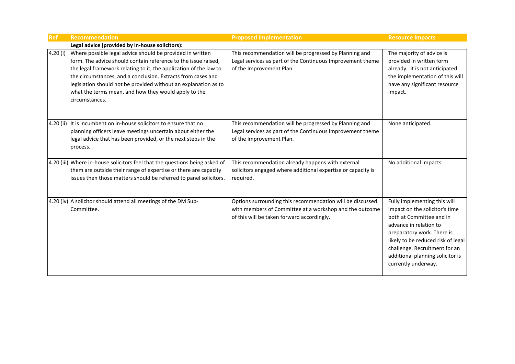| <b>Ref</b> | <b>Recommendation</b>                                                                                                                                                                                                                                                                                                                                                                                         | <b>Proposed implementation</b>                                                                                                                                     | <b>Resource Impacts</b>                                                                                                                                                                                                                                                              |
|------------|---------------------------------------------------------------------------------------------------------------------------------------------------------------------------------------------------------------------------------------------------------------------------------------------------------------------------------------------------------------------------------------------------------------|--------------------------------------------------------------------------------------------------------------------------------------------------------------------|--------------------------------------------------------------------------------------------------------------------------------------------------------------------------------------------------------------------------------------------------------------------------------------|
|            | Legal advice (provided by in-house solicitors):                                                                                                                                                                                                                                                                                                                                                               |                                                                                                                                                                    |                                                                                                                                                                                                                                                                                      |
| 4.20(i)    | Where possible legal advice should be provided in written<br>form. The advice should contain reference to the issue raised,<br>the legal framework relating to it, the application of the law to<br>the circumstances, and a conclusion. Extracts from cases and<br>legislation should not be provided without an explanation as to<br>what the terms mean, and how they would apply to the<br>circumstances. | This recommendation will be progressed by Planning and<br>Legal services as part of the Continuous Improvement theme<br>of the Improvement Plan.                   | The majority of advice is<br>provided in written form<br>already. It is not anticipated<br>the implementation of this will<br>have any significant resource<br>impact.                                                                                                               |
|            | 4.20 (ii) It is incumbent on in-house solicitors to ensure that no<br>planning officers leave meetings uncertain about either the<br>legal advice that has been provided, or the next steps in the<br>process.                                                                                                                                                                                                | This recommendation will be progressed by Planning and<br>Legal services as part of the Continuous Improvement theme<br>of the Improvement Plan.                   | None anticipated.                                                                                                                                                                                                                                                                    |
|            | 4.20 (iii) Where in-house solicitors feel that the questions being asked of<br>them are outside their range of expertise or there are capacity<br>issues then those matters should be referred to panel solicitors.                                                                                                                                                                                           | This recommendation already happens with external<br>solicitors engaged where additional expertise or capacity is<br>required.                                     | No additional impacts.                                                                                                                                                                                                                                                               |
|            | 4.20 (iv) A solicitor should attend all meetings of the DM Sub-<br>Committee.                                                                                                                                                                                                                                                                                                                                 | Options surrounding this recommendation will be discussed<br>with members of Committee at a workshop and the outcome<br>of this will be taken forward accordingly. | Fully implementing this will<br>impact on the solicitor's time<br>both at Committee and in<br>advance in relation to<br>preparatory work. There is<br>likely to be reduced risk of legal<br>challenge. Recruitment for an<br>additional planning solicitor is<br>currently underway. |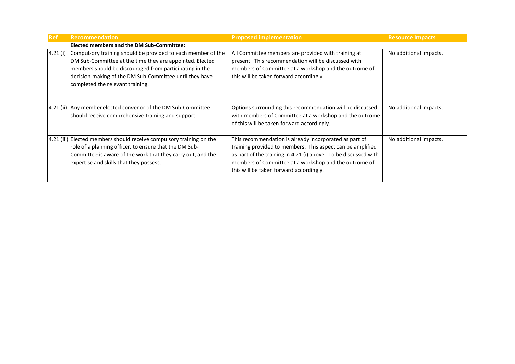| <b>Ref</b> | <b>Recommendation</b>                                                                                                                                                                                                                                                              | <b>Proposed implementation</b>                                                                                                                                                                                                                                                              | <b>Resource Impacts</b> |
|------------|------------------------------------------------------------------------------------------------------------------------------------------------------------------------------------------------------------------------------------------------------------------------------------|---------------------------------------------------------------------------------------------------------------------------------------------------------------------------------------------------------------------------------------------------------------------------------------------|-------------------------|
|            | <b>Elected members and the DM Sub-Committee:</b>                                                                                                                                                                                                                                   |                                                                                                                                                                                                                                                                                             |                         |
| 4.21(i)    | Compulsory training should be provided to each member of the<br>DM Sub-Committee at the time they are appointed. Elected<br>members should be discouraged from participating in the<br>decision-making of the DM Sub-Committee until they have<br>completed the relevant training. | All Committee members are provided with training at<br>present. This recommendation will be discussed with<br>members of Committee at a workshop and the outcome of<br>this will be taken forward accordingly.                                                                              | No additional impacts.  |
|            | [4.21 (ii) Any member elected convenor of the DM Sub-Committee<br>should receive comprehensive training and support.                                                                                                                                                               | Options surrounding this recommendation will be discussed<br>with members of Committee at a workshop and the outcome<br>of this will be taken forward accordingly.                                                                                                                          | No additional impacts.  |
|            | 4.21 (iii) Elected members should receive compulsory training on the<br>role of a planning officer, to ensure that the DM Sub-<br>Committee is aware of the work that they carry out, and the<br>expertise and skills that they possess.                                           | This recommendation is already incorporated as part of<br>training provided to members. This aspect can be amplified<br>as part of the training in 4.21 (i) above. To be discussed with<br>members of Committee at a workshop and the outcome of<br>this will be taken forward accordingly. | No additional impacts.  |